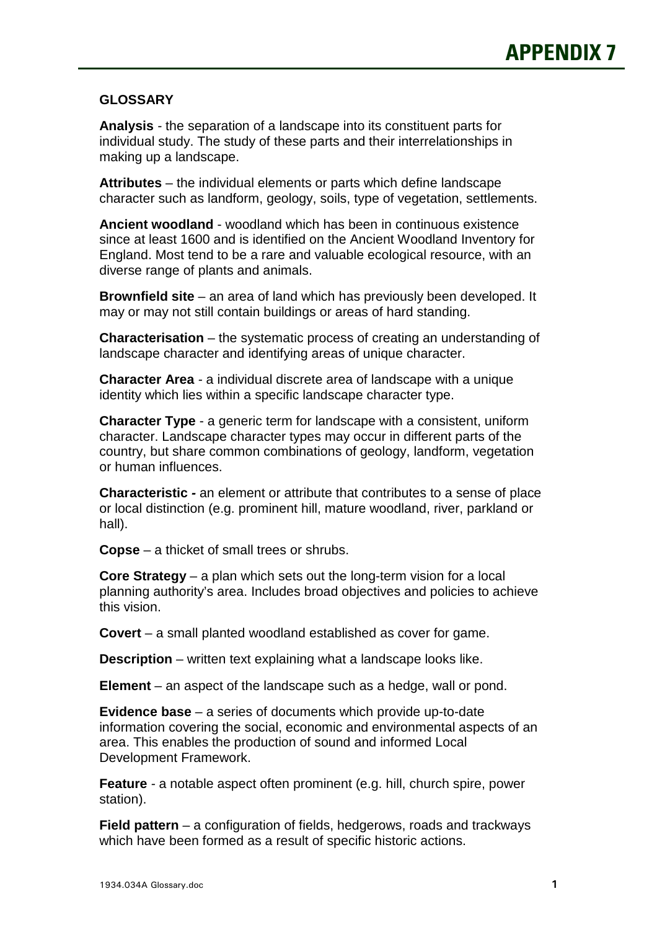## **GLOSSARY**

 **Analysis** - the separation of a landscape into its constituent parts for individual study. The study of these parts and their interrelationships in making up a landscape.

 **Attributes** – the individual elements or parts which define landscape character such as landform, geology, soils, type of vegetation, settlements.

 **Ancient woodland** - woodland which has been in continuous existence since at least 1600 and is identified on the Ancient Woodland Inventory for England. Most tend to be a rare and valuable ecological resource, with an diverse range of plants and animals.

 **Brownfield site** – an area of land which has previously been developed. It may or may not still contain buildings or areas of hard standing.

 **Characterisation** – the systematic process of creating an understanding of landscape character and identifying areas of unique character.

 **Character Area** - a individual discrete area of landscape with a unique identity which lies within a specific landscape character type.

 **Character Type** - a generic term for landscape with a consistent, uniform character. Landscape character types may occur in different parts of the country, but share common combinations of geology, landform, vegetation or human influences.

 **Characteristic -** an element or attribute that contributes to a sense of place or local distinction (e.g. prominent hill, mature woodland, river, parkland or hall).

**Copse** – a thicket of small trees or shrubs.

 **Core Strategy** – a plan which sets out the long-term vision for a local planning authority's area. Includes broad objectives and policies to achieve this vision.

**Covert** – a small planted woodland established as cover for game.

**Description** – written text explaining what a landscape looks like.

**Element** – an aspect of the landscape such as a hedge, wall or pond.

 **Evidence base** – a series of documents which provide up-to-date information covering the social, economic and environmental aspects of an area. This enables the production of sound and informed Local Development Framework.

 **Feature** - a notable aspect often prominent (e.g. hill, church spire, power station).

 **Field pattern** – a configuration of fields, hedgerows, roads and trackways which have been formed as a result of specific historic actions.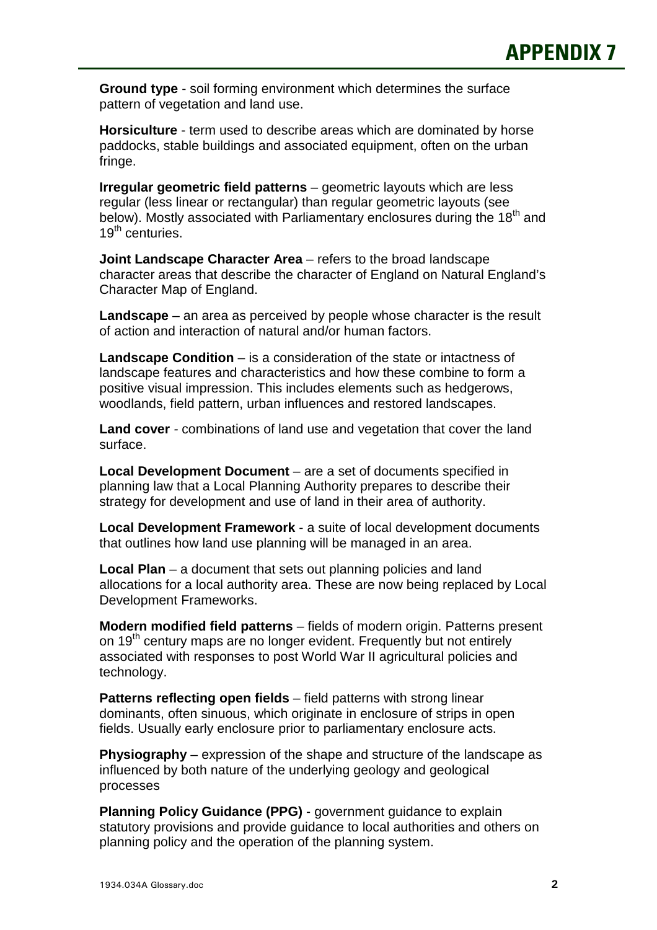**Ground type** - soil forming environment which determines the surface pattern of vegetation and land use.

 **Horsiculture** - term used to describe areas which are dominated by horse paddocks, stable buildings and associated equipment, often on the urban fringe.

 **Irregular geometric field patterns** – geometric layouts which are less regular (less linear or rectangular) than regular geometric layouts (see below). Mostly associated with Parliamentary enclosures during the 18<sup>th</sup> and 19<sup>th</sup> centuries.

**Joint Landscape Character Area** – refers to the broad landscape character areas that describe the character of England on Natural England's Character Map of England.

 **Landscape** – an area as perceived by people whose character is the result of action and interaction of natural and/or human factors.

 **Landscape Condition** – is a consideration of the state or intactness of landscape features and characteristics and how these combine to form a positive visual impression. This includes elements such as hedgerows, woodlands, field pattern, urban influences and restored landscapes.

 **Land cover** - combinations of land use and vegetation that cover the land surface.

 **Local Development Document** – are a set of documents specified in planning law that a Local Planning Authority prepares to describe their strategy for development and use of land in their area of authority.

 **Local Development Framework** - a suite of local development documents that outlines how land use planning will be managed in an area.

 **Local Plan** – a document that sets out planning policies and land allocations for a local authority area. These are now being replaced by Local Development Frameworks.

 **Modern modified field patterns** – fields of modern origin. Patterns present on 19<sup>th</sup> century maps are no longer evident. Frequently but not entirely associated with responses to post World War II agricultural policies and technology.

 **Patterns reflecting open fields** – field patterns with strong linear dominants, often sinuous, which originate in enclosure of strips in open fields. Usually early enclosure prior to parliamentary enclosure acts.

 **Physiography** – expression of the shape and structure of the landscape as influenced by both nature of the underlying geology and geological processes

 **Planning Policy Guidance (PPG)** - government guidance to explain statutory provisions and provide guidance to local authorities and others on planning policy and the operation of the planning system.